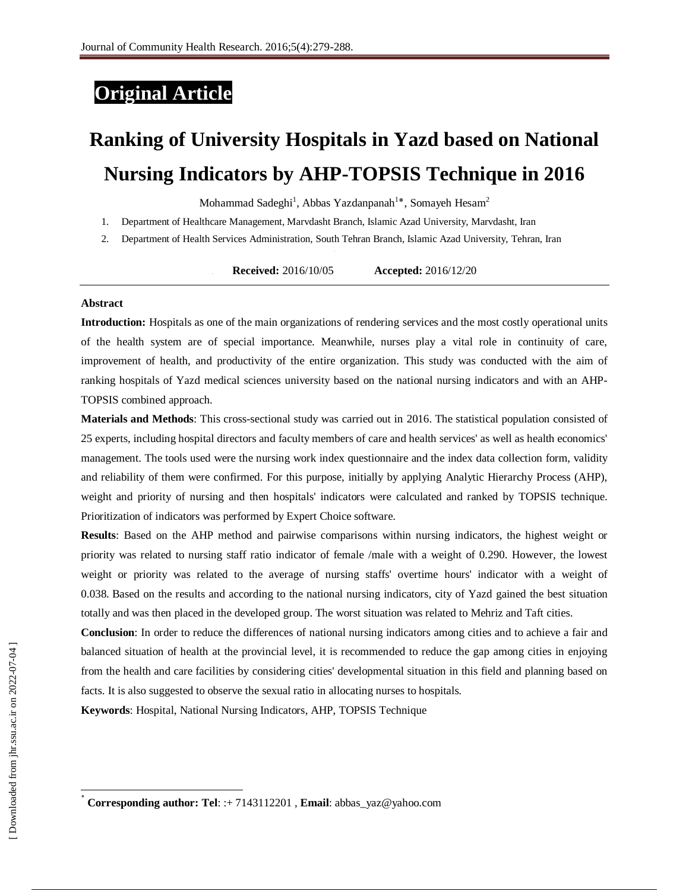## **Original Article**

# **Ranking of University Hospitals in Yazd based on National Nursing Indicators by AHP-TOPSIS Technique in 2016**

Mohammad Sadeghi<sup>1</sup>, Abbas Yazdanpanah<sup>1</sup>\*, Somayeh Hesam<sup>2</sup>

- 1. Department of Healthcare Management, Marvdasht Branch, Islamic Azad University, Marvdasht, Iran
- 2. Department of Health Services Administration, South Tehran Branch, Islamic Azad University, Tehran, Iran

**2. Received:** 2016/10/05 **Accepted:** 2016/12/20

#### **Abstract**

**Introduction:** Hospitals as one of the main organizations of rendering services and the most costly operational units of the health system are of special importance. Meanwhile, nurses play a vital role in continuity of care, improvement of health, and productivity of the entire organization. This study was conducted with the aim of ranking hospitals of Yazd medical sciences university based on the national nursing indicators and with an AHP-TOPSIS combined approach.

**Materials and Methods**: This cross-sectional study was carried out in 2016. The statistical population consisted of 25 experts, including hospital directors and faculty members of care and health services' as well as health economics' management. The tools used were the nursing work index questionnaire and the index data collection form, validity and reliability of them were confirmed. For this purpose, initially by applying Analytic Hierarchy Process (AHP), weight and priority of nursing and then hospitals' indicators were calculated and ranked by TOPSIS technique. Prioritization of indicators was performed by Expert Choice software.

**Results**: Based on the AHP method and pairwise comparisons within nursing indicators, the highest weight or priority was related to nursing staff ratio indicator of female /male with a weight of 0.290. However, the lowest weight or priority was related to the average of nursing staffs' overtime hours' indicator with a weight of 0.038. Based on the results and according to the national nursing indicators, city of Yazd gained the best situation totally and was then placed in the developed group. The worst situation was related to Mehriz and Taft cities.

**Conclusion**: In order to reduce the differences of national nursing indicators among cities and to achieve a fair and balanced situation of health at the provincial level, it is recommended to reduce the gap among cities in enjoying from the health and care facilities by considering cities' developmental situation in this field and planning based on facts. It is also suggested to observe the sexual ratio in allocating nurses to hospitals.

**Keywords**: Hospital, National Nursing Indicators, AHP, TOPSIS Technique

 $\overline{\phantom{a}}$ 

<sup>٭</sup> **Corresponding author: Tel**: :+ 7143112201 , **Email**[: abbas\\_yaz@yahoo.com](mailto:abbas_yaz@yahoo.com)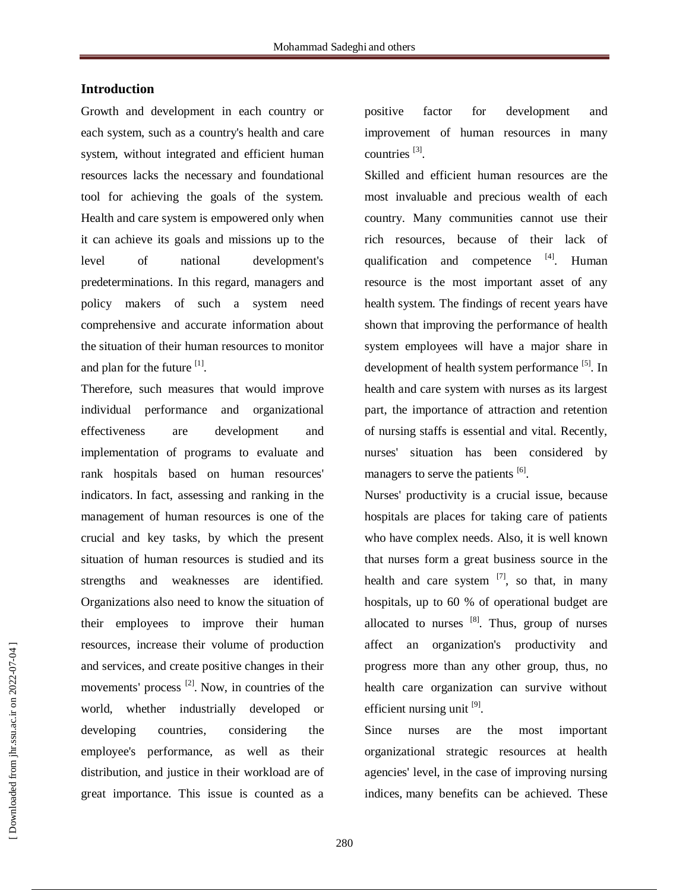#### **Introduction**

Growth and development in each country or each system, such as a country's health and care system, without integrated and efficient human resources lacks the necessary and foundational tool for achieving the goals of the system. Health and care system is empowered only when it can achieve its goals and missions up to the level of national development's predeterminations. In this regard, managers and policy makers of such a system need comprehensive and accurate information about the situation of their human resources to monitor and plan for the future [1].

Therefore, such measures that would improve individual performance and organizational effectiveness are development and implementation of programs to evaluate and rank hospitals based on human resources' indicators. In fact, assessing and ranking in the management of human resources is one of the crucial and key tasks, by which the present situation of human resources is studied and its strengths and weaknesses are identified. Organizations also need to know the situation of their employees to improve their human resources, increase their volume of production and services, and create positive changes in their movements' process  $^{[2]}$ . Now, in countries of the world, whether industrially developed or developing countries, considering the employee's performance, as well as their distribution, and justice in their workload are of great importance. This issue is counted as a

positive factor for development and improvement of human resources in many countries<sup>[3]</sup>.

Skilled and efficient human resources are the most invaluable and precious wealth of each country. Many communities cannot use their rich resources, because of their lack of qualification and competence <sup>[4]</sup>. Human resource is the most important asset of any health system. The findings of recent years have shown that improving the performance of health system employees will have a major share in development of health system performance <sup>[5]</sup>. In health and care system with nurses as its largest part, the importance of attraction and retention of nursing staffs is essential and vital. Recently, nurses' situation has been considered by managers to serve the patients [6].

Nurses' productivity is a crucial issue, because hospitals are places for taking care of patients who have complex needs. Also, it is well known that nurses form a great business source in the health and care system  $^{[7]}$ , so that, in many hospitals, up to 60 % of operational budget are allocated to nurses  $[8]$ . Thus, group of nurses affect an organization's productivity and progress more than any other group, thus, no health care organization can survive without efficient nursing unit [9].

Since nurses are the most important organizational strategic resources at health agencies' level, in the case of improving nursing indices, many benefits can be achieved. These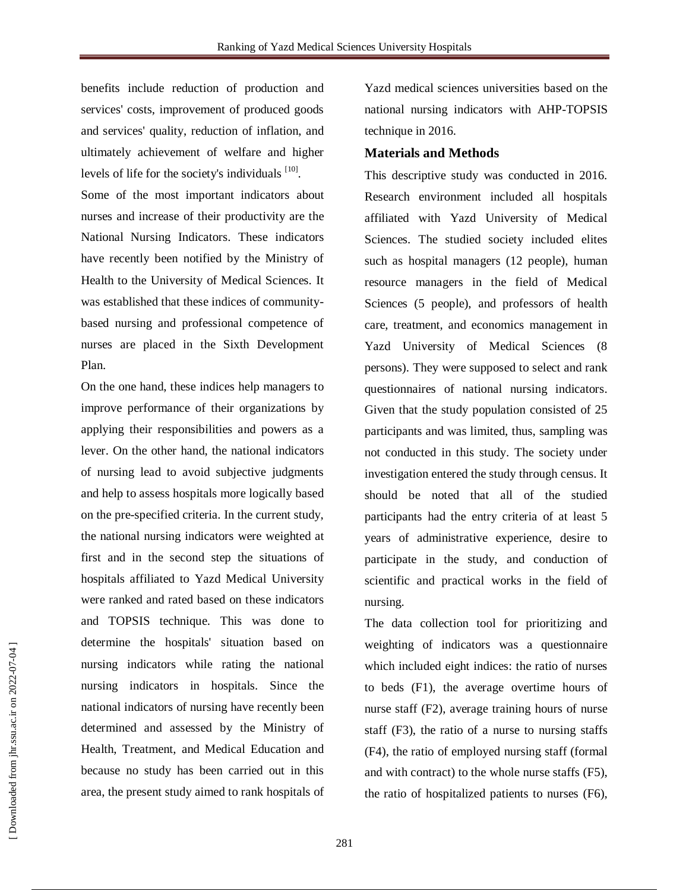benefits include reduction of production and services' costs, improvement of produced goods and services' quality, reduction of inflation, and ultimately achievement of welfare and higher levels of life for the society's individuals [10].

Some of the most important indicators about nurses and increase of their productivity are the National Nursing Indicators. These indicators have recently been notified by the Ministry of Health to the University of Medical Sciences. It was established that these indices of communitybased nursing and professional competence of nurses are placed in the Sixth Development Plan.

On the one hand, these indices help managers to improve performance of their organizations by applying their responsibilities and powers as a lever. On the other hand, the national indicators of nursing lead to avoid subjective judgments and help to assess hospitals more logically based on the pre-specified criteria. In the current study, the national nursing indicators were weighted at first and in the second step the situations of hospitals affiliated to Yazd Medical University were ranked and rated based on these indicators and TOPSIS technique. This was done to determine the hospitals' situation based on nursing indicators while rating the national nursing indicators in hospitals. Since the national indicators of nursing have recently been determined and assessed by the Ministry of Health, Treatment, and Medical Education and because no study has been carried out in this area, the present study aimed to rank hospitals of

Yazd medical sciences universities based on the national nursing indicators with AHP-TOPSIS technique in 2016.

#### **Materials and Methods**

This descriptive study was conducted in 2016. Research environment included all hospitals affiliated with Yazd University of Medical Sciences. The studied society included elites such as hospital managers (12 people), human resource managers in the field of Medical Sciences (5 people), and professors of health care, treatment, and economics management in Yazd University of Medical Sciences (8 persons). They were supposed to select and rank questionnaires of national nursing indicators. Given that the study population consisted of 25 participants and was limited, thus, sampling was not conducted in this study. The society under investigation entered the study through census. It should be noted that all of the studied participants had the entry criteria of at least 5 years of administrative experience, desire to participate in the study, and conduction of scientific and practical works in the field of nursing.

The data collection tool for prioritizing and weighting of indicators was a questionnaire which included eight indices: the ratio of nurses to beds (F1), the average overtime hours of nurse staff (F2), average training hours of nurse staff (F3), the ratio of a nurse to nursing staffs (F4), the ratio of employed nursing staff (formal and with contract) to the whole nurse staffs (F5), the ratio of hospitalized patients to nurses (F6),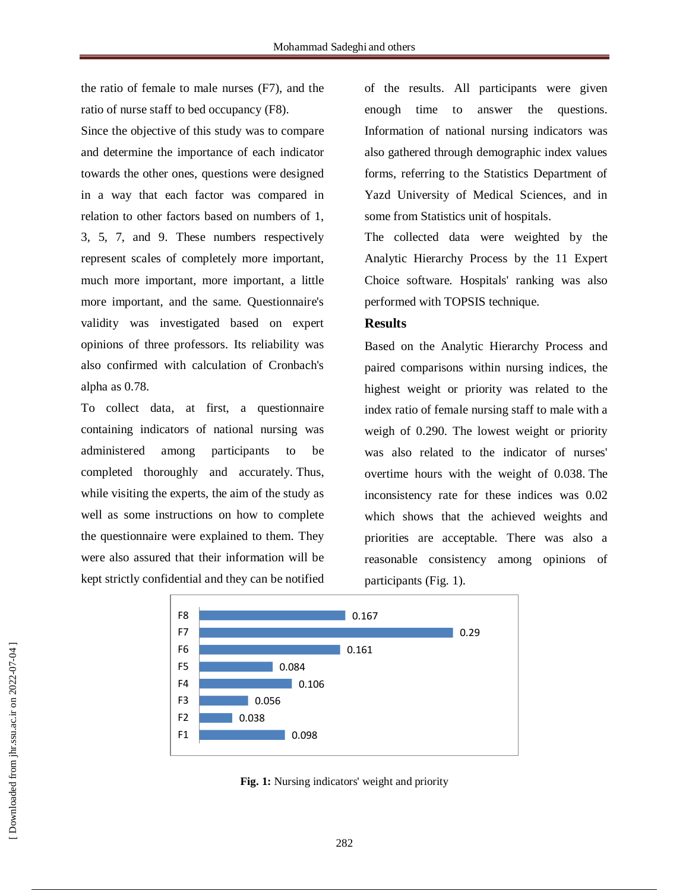the ratio of female to male nurses (F7), and the ratio of nurse staff to bed occupancy (F8).

Since the objective of this study was to compare and determine the importance of each indicator towards the other ones, questions were designed in a way that each factor was compared in relation to other factors based on numbers of 1, 3, 5, 7, and 9. These numbers respectively represent scales of completely more important, much more important, more important, a little more important, and the same. Questionnaire's validity was investigated based on expert opinions of three professors. Its reliability was also confirmed with calculation of Cronbach's alpha as 0.78.

To collect data, at first, a questionnaire containing indicators of national nursing was administered among participants to be completed thoroughly and accurately. Thus, while visiting the experts, the aim of the study as well as some instructions on how to complete the questionnaire were explained to them. They were also assured that their information will be kept strictly confidential and they can be notified

of the results. All participants were given enough time to answer the questions. Information of national nursing indicators was also gathered through demographic index values forms, referring to the Statistics Department of Yazd University of Medical Sciences, and in some from Statistics unit of hospitals.

The collected data were weighted by the Analytic Hierarchy Process by the 11 Expert Choice software. Hospitals' ranking was also performed with TOPSIS technique.

#### **Results**

Based on the Analytic Hierarchy Process and paired comparisons within nursing indices, the highest weight or priority was related to the index ratio of female nursing staff to male with a weigh of 0.290. The lowest weight or priority was also related to the indicator of nurses' overtime hours with the weight of 0.038. The inconsistency rate for these indices was 0.02 which shows that the achieved weights and priorities are acceptable. There was also a reasonable consistency among opinions of participants (Fig. 1).



**Fig. 1:** Nursing indicators' weight and priority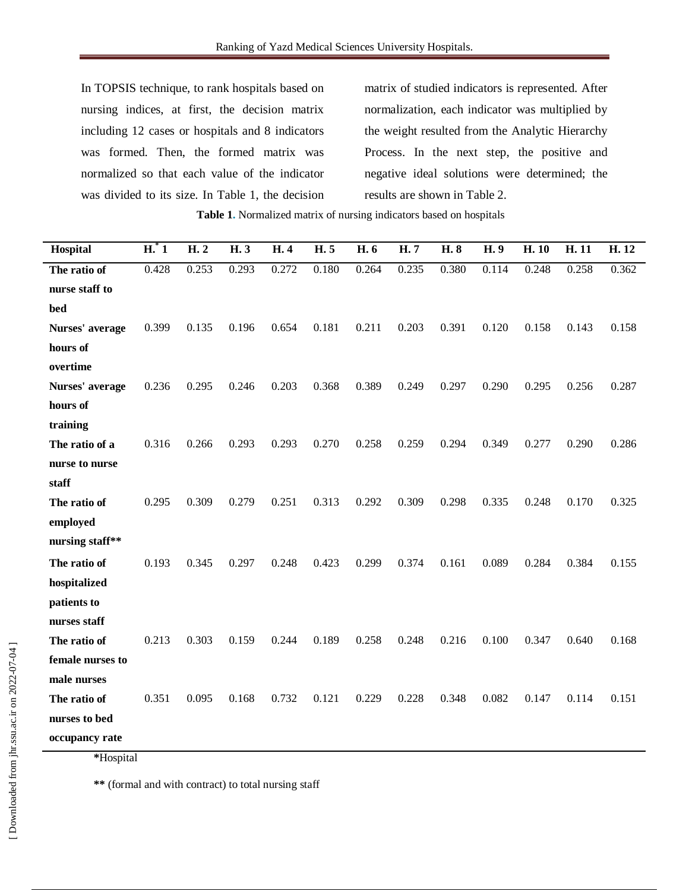In TOPSIS technique, to rank hospitals based on nursing indices, at first, the decision matrix including 12 cases or hospitals and 8 indicators was formed. Then, the formed matrix was normalized so that each value of the indicator was divided to its size. In Table 1, the decision matrix of studied indicators is represented. After normalization, each indicator was multiplied by the weight resulted from the Analytic Hierarchy Process. In the next step, the positive and negative ideal solutions were determined; the results are shown in Table 2.

**Table 1.** Normalized matrix of nursing indicators based on hospitals

| Hospital         | $H^*$ 1 | H.2   | H. 3  | H. 4  | H. 5  | H. 6  | H.7   | H. 8  | H. 9  | H. 10 | H. 11 | H. 12 |
|------------------|---------|-------|-------|-------|-------|-------|-------|-------|-------|-------|-------|-------|
| The ratio of     | 0.428   | 0.253 | 0.293 | 0.272 | 0.180 | 0.264 | 0.235 | 0.380 | 0.114 | 0.248 | 0.258 | 0.362 |
| nurse staff to   |         |       |       |       |       |       |       |       |       |       |       |       |
| bed              |         |       |       |       |       |       |       |       |       |       |       |       |
| Nurses' average  | 0.399   | 0.135 | 0.196 | 0.654 | 0.181 | 0.211 | 0.203 | 0.391 | 0.120 | 0.158 | 0.143 | 0.158 |
| hours of         |         |       |       |       |       |       |       |       |       |       |       |       |
| overtime         |         |       |       |       |       |       |       |       |       |       |       |       |
| Nurses' average  | 0.236   | 0.295 | 0.246 | 0.203 | 0.368 | 0.389 | 0.249 | 0.297 | 0.290 | 0.295 | 0.256 | 0.287 |
| hours of         |         |       |       |       |       |       |       |       |       |       |       |       |
| training         |         |       |       |       |       |       |       |       |       |       |       |       |
| The ratio of a   | 0.316   | 0.266 | 0.293 | 0.293 | 0.270 | 0.258 | 0.259 | 0.294 | 0.349 | 0.277 | 0.290 | 0.286 |
| nurse to nurse   |         |       |       |       |       |       |       |       |       |       |       |       |
| staff            |         |       |       |       |       |       |       |       |       |       |       |       |
| The ratio of     | 0.295   | 0.309 | 0.279 | 0.251 | 0.313 | 0.292 | 0.309 | 0.298 | 0.335 | 0.248 | 0.170 | 0.325 |
| employed         |         |       |       |       |       |       |       |       |       |       |       |       |
| nursing staff**  |         |       |       |       |       |       |       |       |       |       |       |       |
| The ratio of     | 0.193   | 0.345 | 0.297 | 0.248 | 0.423 | 0.299 | 0.374 | 0.161 | 0.089 | 0.284 | 0.384 | 0.155 |
| hospitalized     |         |       |       |       |       |       |       |       |       |       |       |       |
| patients to      |         |       |       |       |       |       |       |       |       |       |       |       |
| nurses staff     |         |       |       |       |       |       |       |       |       |       |       |       |
| The ratio of     | 0.213   | 0.303 | 0.159 | 0.244 | 0.189 | 0.258 | 0.248 | 0.216 | 0.100 | 0.347 | 0.640 | 0.168 |
| female nurses to |         |       |       |       |       |       |       |       |       |       |       |       |
| male nurses      |         |       |       |       |       |       |       |       |       |       |       |       |
| The ratio of     | 0.351   | 0.095 | 0.168 | 0.732 | 0.121 | 0.229 | 0.228 | 0.348 | 0.082 | 0.147 | 0.114 | 0.151 |
| nurses to bed    |         |       |       |       |       |       |       |       |       |       |       |       |
| occupancy rate   |         |       |       |       |       |       |       |       |       |       |       |       |

**\***Hospital

**\*\*** (formal and with contract) to total nursing staff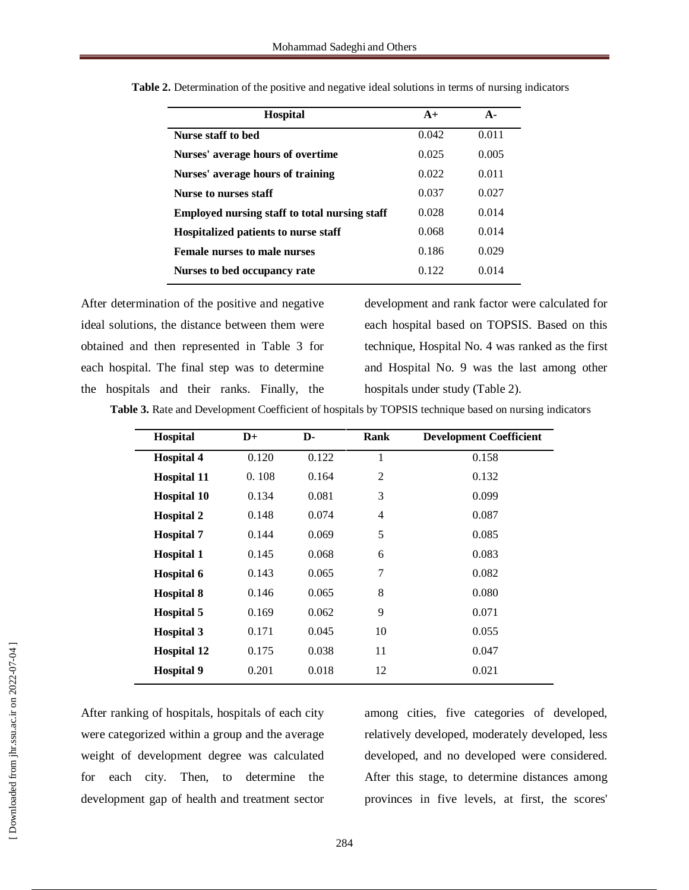| <b>Hospital</b>                               | $A+$  | $\mathbf{A}$ |
|-----------------------------------------------|-------|--------------|
| Nurse staff to bed                            | 0.042 | 0.011        |
| Nurses' average hours of overtime             | 0.025 | 0.005        |
| Nurses' average hours of training             | 0.022 | 0.011        |
| Nurse to nurses staff                         | 0.037 | 0.027        |
| Employed nursing staff to total nursing staff | 0.028 | 0.014        |
| Hospitalized patients to nurse staff          | 0.068 | 0.014        |
| <b>Female nurses to male nurses</b>           | 0.186 | 0.029        |
| Nurses to bed occupancy rate                  | 0.122 | 0.014        |

|  | Table 2. Determination of the positive and negative ideal solutions in terms of nursing indicators |  |  |  |  |  |
|--|----------------------------------------------------------------------------------------------------|--|--|--|--|--|
|  |                                                                                                    |  |  |  |  |  |

After determination of the positive and negative ideal solutions, the distance between them were obtained and then represented in Table 3 for each hospital. The final step was to determine the hospitals and their ranks. Finally, the development and rank factor were calculated for each hospital based on TOPSIS. Based on this technique, Hospital No. 4 was ranked as the first and Hospital No. 9 was the last among other hospitals under study (Table 2).

**Table 3.** Rate and Development Coefficient of hospitals by TOPSIS technique based on nursing indicators

| Hospital           | $\mathbf{D}+$ | D-    | <b>Rank</b>    | <b>Development Coefficient</b> |
|--------------------|---------------|-------|----------------|--------------------------------|
| <b>Hospital 4</b>  | 0.120         | 0.122 | 1              | 0.158                          |
| <b>Hospital 11</b> | 0.108         | 0.164 | $\overline{2}$ | 0.132                          |
| <b>Hospital 10</b> | 0.134         | 0.081 | 3              | 0.099                          |
| <b>Hospital 2</b>  | 0.148         | 0.074 | $\overline{4}$ | 0.087                          |
| <b>Hospital 7</b>  | 0.144         | 0.069 | 5              | 0.085                          |
| <b>Hospital 1</b>  | 0.145         | 0.068 | 6              | 0.083                          |
| Hospital 6         | 0.143         | 0.065 | 7              | 0.082                          |
| <b>Hospital 8</b>  | 0.146         | 0.065 | $8\,$          | 0.080                          |
| <b>Hospital 5</b>  | 0.169         | 0.062 | 9              | 0.071                          |
| <b>Hospital 3</b>  | 0.171         | 0.045 | 10             | 0.055                          |
| <b>Hospital 12</b> | 0.175         | 0.038 | 11             | 0.047                          |
| <b>Hospital 9</b>  | 0.201         | 0.018 | 12             | 0.021                          |

After ranking of hospitals, hospitals of each city were categorized within a group and the average weight of development degree was calculated for each city. Then, to determine the development gap of health and treatment sector among cities, five categories of developed, relatively developed, moderately developed, less developed, and no developed were considered. After this stage, to determine distances among provinces in five levels, at first, the scores'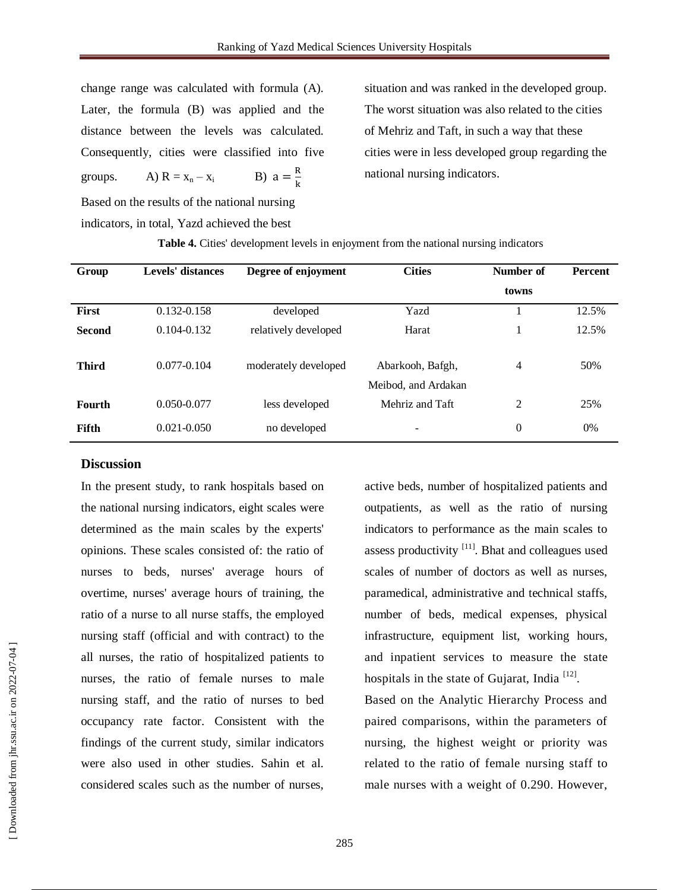change range was calculated with formula (A). Later, the formula (B) was applied and the distance between the levels was calculated. Consequently, cities were classified into five groups. A)  $R = x_n - x_i$ B)  $a = \frac{R}{l}$ 

situation and was ranked in the developed group. The worst situation was also related to the cities of Mehriz and Taft, in such a way that these cities were in less developed group regarding the national nursing indicators.

Based on the results of the national nursing indicators, in total, Yazd achieved the best

| Group         | Levels' distances | Degree of enjoyment  | <b>Cities</b>                           | Number of | <b>Percent</b> |  |
|---------------|-------------------|----------------------|-----------------------------------------|-----------|----------------|--|
|               |                   |                      |                                         | towns     |                |  |
| <b>First</b>  | 0.132-0.158       | developed            | Yazd                                    |           | 12.5%          |  |
| <b>Second</b> | $0.104 - 0.132$   | relatively developed | Harat                                   |           | 12.5%          |  |
| <b>Third</b>  | $0.077 - 0.104$   | moderately developed | Abarkooh, Bafgh,<br>Meibod, and Ardakan | 4         | 50%            |  |
| <b>Fourth</b> | $0.050 - 0.077$   | less developed       | Mehriz and Taft                         | 2         | 25%            |  |
| <b>Fifth</b>  | $0.021 - 0.050$   | no developed         | -                                       | $\Omega$  | 0%             |  |

**Table 4.** Cities' development levels in enjoyment from the national nursing indicators

k

#### **Discussion**

In the present study, to rank hospitals based on the national nursing indicators, eight scales were determined as the main scales by the experts' opinions. These scales consisted of: the ratio of nurses to beds, nurses' average hours of overtime, nurses' average hours of training, the ratio of a nurse to all nurse staffs, the employed nursing staff (official and with contract) to the all nurses, the ratio of hospitalized patients to nurses, the ratio of female nurses to male nursing staff, and the ratio of nurses to bed occupancy rate factor. Consistent with the findings of the current study, similar indicators were also used in other studies. Sahin et al. considered scales such as the number of nurses,

active beds, number of hospitalized patients and outpatients, as well as the ratio of nursing indicators to performance as the main scales to assess productivity  $[11]$ . Bhat and colleagues used scales of number of doctors as well as nurses, paramedical, administrative and technical staffs, number of beds, medical expenses, physical infrastructure, equipment list, working hours, and inpatient services to measure the state hospitals in the state of Gujarat, India  $[12]$ .

Based on the Analytic Hierarchy Process and paired comparisons, within the parameters of nursing, the highest weight or priority was related to the ratio of female nursing staff to male nurses with a weight of 0.290. However,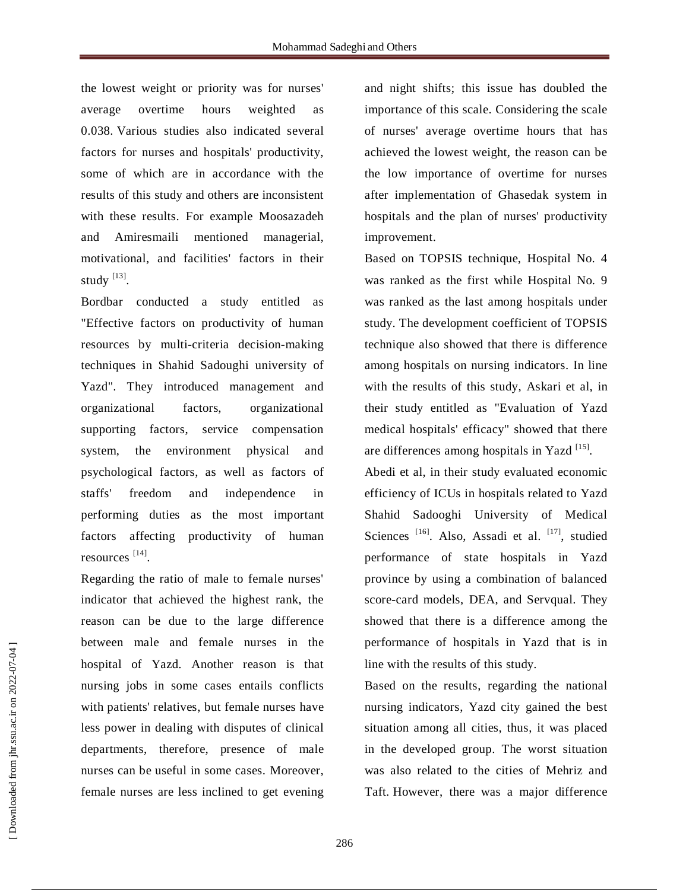the lowest weight or priority was for nurses' average overtime hours weighted as 0.038. Various studies also indicated several factors for nurses and hospitals' productivity, some of which are in accordance with the results of this study and others are inconsistent with these results. For example Moosazadeh and Amiresmaili mentioned managerial, motivational, and facilities' factors in their study  $^{[13]}$ .

Bordbar conducted a study entitled as "Effective factors on productivity of human resources by multi-criteria decision-making techniques in Shahid Sadoughi university of Yazd". They introduced management and organizational factors, organizational supporting factors, service compensation system, the environment physical and psychological factors, as well as factors of staffs' freedom and independence in performing duties as the most important factors affecting productivity of human resources<sup>[14]</sup>.

Regarding the ratio of male to female nurses' indicator that achieved the highest rank, the reason can be due to the large difference between male and female nurses in the hospital of Yazd. Another reason is that nursing jobs in some cases entails conflicts with patients' relatives, but female nurses have less power in dealing with disputes of clinical departments, therefore, presence of male nurses can be useful in some cases. Moreover, female nurses are less inclined to get evening and night shifts; this issue has doubled the importance of this scale. Considering the scale of nurses' average overtime hours that has achieved the lowest weight, the reason can be the low importance of overtime for nurses after implementation of Ghasedak system in hospitals and the plan of nurses' productivity improvement.

Based on TOPSIS technique, Hospital No. 4 was ranked as the first while Hospital No. 9 was ranked as the last among hospitals under study. The development coefficient of TOPSIS technique also showed that there is difference among hospitals on nursing indicators. In line with the results of this study, Askari et al, in their study entitled as "Evaluation of Yazd medical hospitals' efficacy" showed that there are differences among hospitals in Yazd<sup>[15]</sup>.

Abedi et al, in their study evaluated economic efficiency of ICUs in hospitals related to Yazd Shahid Sadooghi University of Medical Sciences<sup>[16]</sup>. Also, Assadi et al. <sup>[17]</sup>, studied performance of state hospitals in Yazd province by using a combination of balanced score-card models, DEA, and Servqual. They showed that there is a difference among the performance of hospitals in Yazd that is in line with the results of this study.

Based on the results, regarding the national nursing indicators, Yazd city gained the best situation among all cities, thus, it was placed in the developed group. The worst situation was also related to the cities of Mehriz and Taft. However, there was a major difference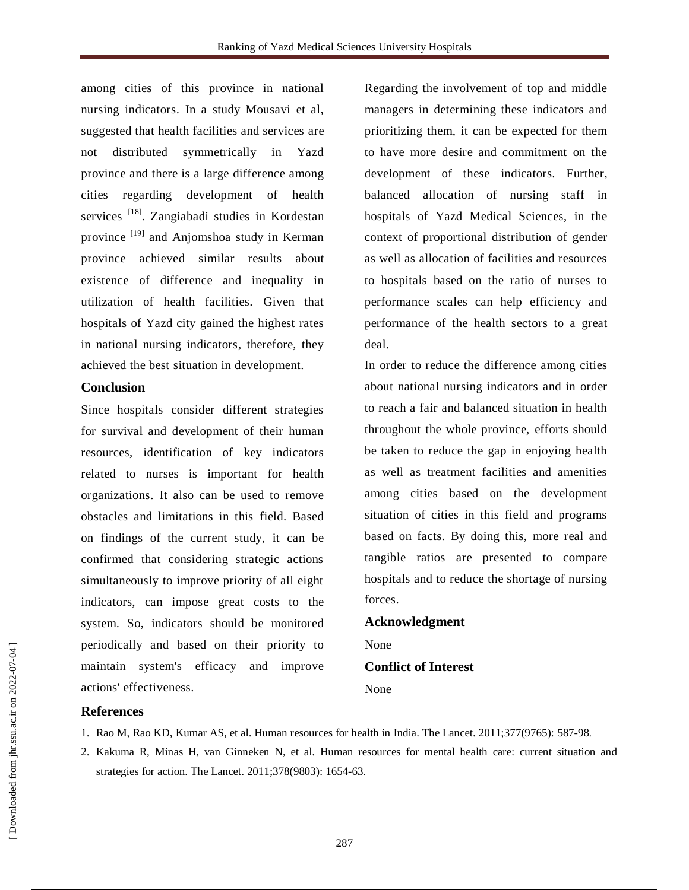among cities of this province in national nursing indicators. In a study Mousavi et al, suggested that health facilities and services are not distributed symmetrically in Yazd province and there is a large difference among cities regarding development of health services<sup>[18]</sup>. Zangiabadi studies in Kordestan province <sup>[19]</sup> and Anjomshoa study in Kerman province achieved similar results about existence of difference and inequality in utilization of health facilities. Given that hospitals of Yazd city gained the highest rates in national nursing indicators, therefore, they achieved the best situation in development.

#### **Conclusion**

Since hospitals consider different strategies for survival and development of their human resources, identification of key indicators related to nurses is important for health organizations. It also can be used to remove obstacles and limitations in this field. Based on findings of the current study, it can be confirmed that considering strategic actions simultaneously to improve priority of all eight indicators, can impose great costs to the system. So, indicators should be monitored periodically and based on their priority to maintain system's efficacy and improve actions' effectiveness.

Regarding the involvement of top and middle managers in determining these indicators and prioritizing them, it can be expected for them to have more desire and commitment on the development of these indicators. Further, balanced allocation of nursing staff in hospitals of Yazd Medical Sciences, in the context of proportional distribution of gender as well as allocation of facilities and resources to hospitals based on the ratio of nurses to performance scales can help efficiency and performance of the health sectors to a great deal.

In order to reduce the difference among cities about national nursing indicators and in order to reach a fair and balanced situation in health throughout the whole province, efforts should be taken to reduce the gap in enjoying health as well as treatment facilities and amenities among cities based on the development situation of cities in this field and programs based on facts. By doing this, more real and tangible ratios are presented to compare hospitals and to reduce the shortage of nursing forces.

### **Acknowledgment** None **Conflict of Interest** None

#### **References**

- 1. Rao M, Rao KD, Kumar AS, et al. Human resources for health in India. The Lancet. 2011;377(9765): 587-98.
- 2. Kakuma R, Minas H, van Ginneken N, et al. Human resources for mental health care: current situation and strategies for action. The Lancet. 2011;378(9803): 1654-63.